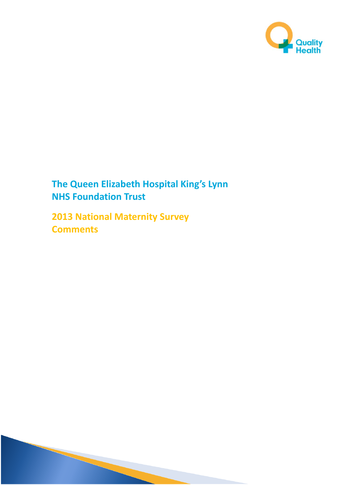

# **The Queen Elizabeth Hospital King's Lynn NHS Foundation Trust**

**2013 National Maternity Survey Comments**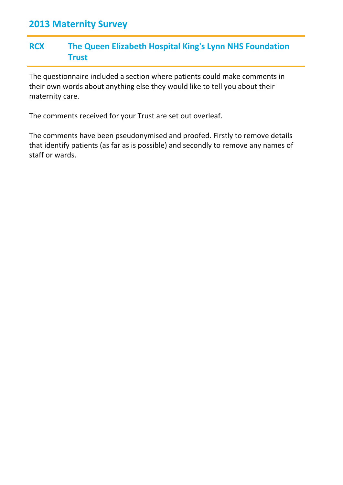#### **RCX The Queen Elizabeth Hospital King's Lynn NHS Foundation Trust**

The questionnaire included a section where patients could make comments in their own words about anything else they would like to tell you about their maternity care.

The comments received for your Trust are set out overleaf.

The comments have been pseudonymised and proofed. Firstly to remove details that identify patients (as far as is possible) and secondly to remove any names of staff or wards.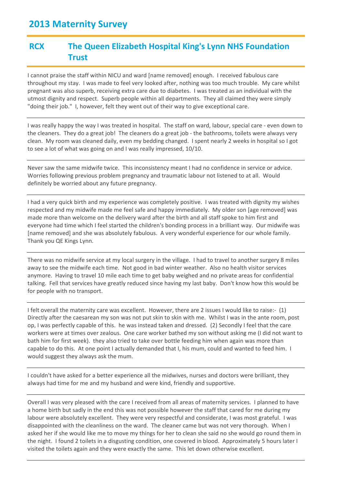#### **RCX The Queen Elizabeth Hospital King's Lynn NHS Foundation Trust**

I cannot praise the staff within NICU and ward [name removed] enough. I received fabulous care throughout my stay. I was made to feel very looked after, nothing was too much trouble. My care whilst pregnant was also superb, receiving extra care due to diabetes. I was treated as an individual with the utmost dignity and respect. Superb people within all departments. They all claimed they were simply "doing their job." I, however, felt they went out of their way to give exceptional care.

I was really happy the way I was treated in hospital. The staff on ward, labour, special care - even down to the cleaners. They do a great job! The cleaners do a great job - the bathrooms, toilets were always very clean. My room was cleaned daily, even my bedding changed. I spent nearly 2 weeks in hospital so I got to see a lot of what was going on and I was really impressed, 10/10.

Never saw the same midwife twice. This inconsistency meant I had no confidence in service or advice. Worries following previous problem pregnancy and traumatic labour not listened to at all. Would definitely be worried about any future pregnancy.

I had a very quick birth and my experience was completely positive. I was treated with dignity my wishes respected and my midwife made me feel safe and happy immediately. My older son [age removed] was made more than welcome on the delivery ward after the birth and all staff spoke to him first and everyone had time which I feel started the children's bonding process in a brilliant way. Our midwife was [name removed] and she was absolutely fabulous. A very wonderful experience for our whole family. Thank you QE Kings Lynn.

There was no midwife service at my local surgery in the village. I had to travel to another surgery 8 miles away to see the midwife each time. Not good in bad winter weather. Also no health visitor services anymore. Having to travel 10 mile each time to get baby weighed and no private areas for confidential talking. Fell that services have greatly reduced since having my last baby. Don't know how this would be for people with no transport.

I felt overall the maternity care was excellent. However, there are 2 issues I would like to raise:- (1) Directly after the caesarean my son was not put skin to skin with me. Whilst I was in the ante room, post op, I was perfectly capable of this. he was instead taken and dressed. (2) Secondly I feel that the care workers were at times over zealous. One care worker bathed my son without asking me (I did not want to bath him for first week). they also tried to take over bottle feeding him when again was more than capable to do this. At one point I actually demanded that I, his mum, could and wanted to feed him. I would suggest they always ask the mum.

I couldn't have asked for a better experience all the midwives, nurses and doctors were brilliant, they always had time for me and my husband and were kind, friendly and supportive.

Overall I was very pleased with the care I received from all areas of maternity services. I planned to have a home birth but sadly in the end this was not possible however the staff that cared for me during my labour were absolutely excellent. They were very respectful and considerate, I was most grateful. I was disappointed with the cleanliness on the ward. The cleaner came but was not very thorough. When I asked her if she would like me to move my things for her to clean she said no she would go round them in the night. I found 2 toilets in a disgusting condition, one covered in blood. Approximately 5 hours later I visited the toilets again and they were exactly the same. This let down otherwise excellent.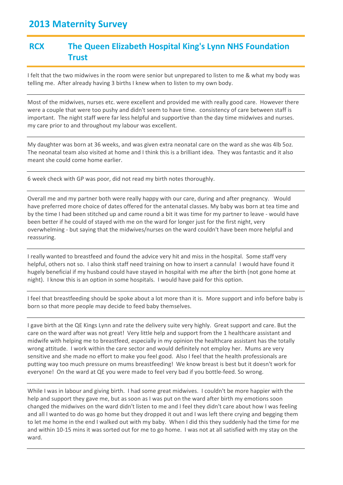### **RCX The Queen Elizabeth Hospital King's Lynn NHS Foundation Trust**

I felt that the two midwives in the room were senior but unprepared to listen to me & what my body was telling me. After already having 3 births I knew when to listen to my own body.

Most of the midwives, nurses etc. were excellent and provided me with really good care. However there were a couple that were too pushy and didn't seem to have time. consistency of care between staff is important. The night staff were far less helpful and supportive than the day time midwives and nurses. my care prior to and throughout my labour was excellent.

My daughter was born at 36 weeks, and was given extra neonatal care on the ward as she was 4lb 5oz. The neonatal team also visited at home and I think this is a brilliant idea. They was fantastic and it also meant she could come home earlier.

6 week check with GP was poor, did not read my birth notes thoroughly.

Overall me and my partner both were really happy with our care, during and after pregnancy. Would have preferred more choice of dates offered for the antenatal classes. My baby was born at tea time and by the time I had been stitched up and came round a bit it was time for my partner to leave - would have been better if he could of stayed with me on the ward for longer just for the first night, very overwhelming - but saying that the midwives/nurses on the ward couldn't have been more helpful and reassuring.

I really wanted to breastfeed and found the advice very hit and miss in the hospital. Some staff very helpful, others not so. I also think staff need training on how to insert a cannula! I would have found it hugely beneficial if my husband could have stayed in hospital with me after the birth (not gone home at night). I know this is an option in some hospitals. I would have paid for this option.

I feel that breastfeeding should be spoke about a lot more than it is. More support and info before baby is born so that more people may decide to feed baby themselves.

I gave birth at the QE Kings Lynn and rate the delivery suite very highly. Great support and care. But the care on the ward after was not great! Very little help and support from the 1 healthcare assistant and midwife with helping me to breastfeed, especially in my opinion the healthcare assistant has the totally wrong attitude. I work within the care sector and would definitely not employ her. Mums are very sensitive and she made no effort to make you feel good. Also I feel that the health professionals are putting way too much pressure on mums breastfeeding! We know breast is best but it doesn't work for everyone! On the ward at QE you were made to feel very bad if you bottle-feed. So wrong.

While I was in labour and giving birth. I had some great midwives. I couldn't be more happier with the help and support they gave me, but as soon as I was put on the ward after birth my emotions soon changed the midwives on the ward didn't listen to me and I feel they didn't care about how I was feeling and all I wanted to do was go home but they dropped it out and I was left there crying and begging them to let me home in the end I walked out with my baby. When I did this they suddenly had the time for me and within 10-15 mins it was sorted out for me to go home. I was not at all satisfied with my stay on the ward.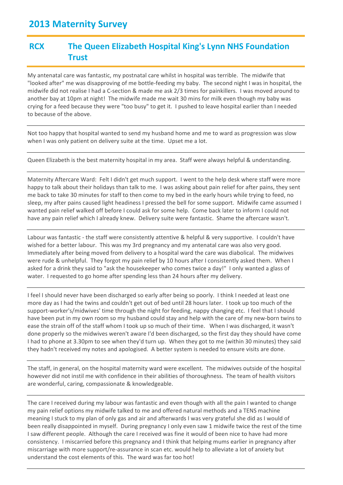#### **RCX The Queen Elizabeth Hospital King's Lynn NHS Foundation Trust**

My antenatal care was fantastic, my postnatal care whilst in hospital was terrible. The midwife that "looked after" me was disapproving of me bottle-feeding my baby. The second night I was in hospital, the midwife did not realise I had a C-section & made me ask 2/3 times for painkillers. I was moved around to another bay at 10pm at night! The midwife made me wait 30 mins for milk even though my baby was crying for a feed because they were "too busy" to get it. I pushed to leave hospital earlier than I needed to because of the above.

Not too happy that hospital wanted to send my husband home and me to ward as progression was slow when I was only patient on delivery suite at the time. Upset me a lot.

Queen Elizabeth is the best maternity hospital in my area. Staff were always helpful & understanding.

Maternity Aftercare Ward: Felt I didn't get much support. I went to the help desk where staff were more happy to talk about their holidays than talk to me. I was asking about pain relief for after pains, they sent me back to take 30 minutes for staff to then come to my bed in the early hours while trying to feed, no sleep, my after pains caused light headiness I pressed the bell for some support. Midwife came assumed I wanted pain relief walked off before I could ask for some help. Come back later to inform I could not have any pain relief which I already knew. Delivery suite were fantastic. Shame the aftercare wasn't.

Labour was fantastic - the staff were consistently attentive & helpful & very supportive. I couldn't have wished for a better labour. This was my 3rd pregnancy and my antenatal care was also very good. Immediately after being moved from delivery to a hospital ward the care was diabolical. The midwives were rude & unhelpful. They forgot my pain relief by 10 hours after I consistently asked them. When I asked for a drink they said to "ask the housekeeper who comes twice a day!" I only wanted a glass of water. I requested to go home after spending less than 24 hours after my delivery.

I feel I should never have been discharged so early after being so poorly. I think I needed at least one more day as I had the twins and couldn't get out of bed until 28 hours later. I took up too much of the support-worker's/midwives' time through the night for feeding, nappy changing etc. I feel that I should have been put in my own room so my husband could stay and help with the care of my new-born twins to ease the strain off of the staff whom I took up so much of their time. When I was discharged, it wasn't done properly so the midwives weren't aware I'd been discharged, so the first day they should have come I had to phone at 3.30pm to see when they'd turn up. When they got to me (within 30 minutes) they said they hadn't received my notes and apologised. A better system is needed to ensure visits are done.

The staff, in general, on the hospital maternity ward were excellent. The midwives outside of the hospital however did not instil me with confidence in their abilities of thoroughness. The team of health visitors are wonderful, caring, compassionate & knowledgeable.

The care I received during my labour was fantastic and even though with all the pain I wanted to change my pain relief options my midwife talked to me and offered natural methods and a TENS machine meaning I stuck to my plan of only gas and air and afterwards I was very grateful she did as I would of been really disappointed in myself. During pregnancy I only even saw 1 midwife twice the rest of the time I saw different people. Although the care I received was fine it would of been nice to have had more consistency. I miscarried before this pregnancy and I think that helping mums earlier in pregnancy after miscarriage with more support/re-assurance in scan etc. would help to alleviate a lot of anxiety but understand the cost elements of this. The ward was far too hot!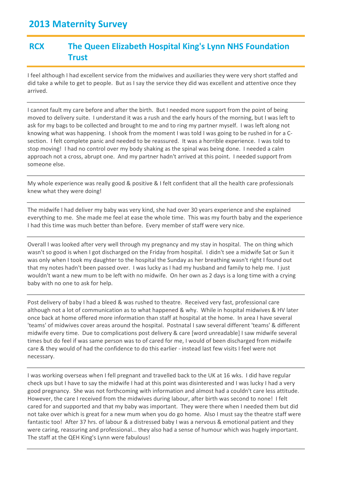### **RCX The Queen Elizabeth Hospital King's Lynn NHS Foundation Trust**

I feel although I had excellent service from the midwives and auxiliaries they were very short staffed and did take a while to get to people. But as I say the service they did was excellent and attentive once they arrived.

I cannot fault my care before and after the birth. But I needed more support from the point of being moved to delivery suite. I understand it was a rush and the early hours of the morning, but I was left to ask for my bags to be collected and brought to me and to ring my partner myself. I was left along not knowing what was happening. I shook from the moment I was told I was going to be rushed in for a Csection. I felt complete panic and needed to be reassured. It was a horrible experience. I was told to stop moving! I had no control over my body shaking as the spinal was being done. I needed a calm approach not a cross, abrupt one. And my partner hadn't arrived at this point. I needed support from someone else.

My whole experience was really good & positive & I felt confident that all the health care professionals knew what they were doing!

The midwife I had deliver my baby was very kind, she had over 30 years experience and she explained everything to me. She made me feel at ease the whole time. This was my fourth baby and the experience I had this time was much better than before. Every member of staff were very nice.

Overall I was looked after very well through my pregnancy and my stay in hospital. The on thing which wasn't so good is when I got discharged on the Friday from hospital. I didn't see a midwife Sat or Sun it was only when I took my daughter to the hospital the Sunday as her breathing wasn't right I found out that my notes hadn't been passed over. I was lucky as I had my husband and family to help me. I just wouldn't want a new mum to be left with no midwife. On her own as 2 days is a long time with a crying baby with no one to ask for help.

Post delivery of baby I had a bleed & was rushed to theatre. Received very fast, professional care although not a lot of communication as to what happened & why. While in hospital midwives & HV later once back at home offered more information than staff at hospital at the home. In area I have several 'teams' of midwives cover areas around the hospital. Postnatal I saw several different 'teams' & different midwife every time. Due to complications post delivery & care [word unreadable] I saw midwife several times but do feel if was same person was to of cared for me, I would of been discharged from midwife care & they would of had the confidence to do this earlier - instead last few visits I feel were not necessary.

I was working overseas when I fell pregnant and travelled back to the UK at 16 wks. I did have regular check ups but I have to say the midwife I had at this point was disinterested and I was lucky I had a very good pregnancy. She was not forthcoming with information and almost had a couldn't care less attitude. However, the care I received from the midwives during labour, after birth was second to none! I felt cared for and supported and that my baby was important. They were there when I needed them but did not take over which is great for a new mum when you do go home. Also I must say the theatre staff were fantastic too! After 37 hrs. of labour & a distressed baby I was a nervous & emotional patient and they were caring, reassuring and professional... they also had a sense of humour which was hugely important. The staff at the QEH King's Lynn were fabulous!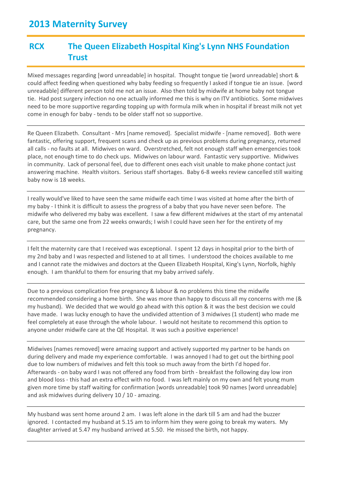#### **RCX The Queen Elizabeth Hospital King's Lynn NHS Foundation Trust**

Mixed messages regarding [word unreadable] in hospital. Thought tongue tie [word unreadable] short & could affect feeding when questioned why baby feeding so frequently I asked if tongue tie an issue. [word unreadable] different person told me not an issue. Also then told by midwife at home baby not tongue tie. Had post surgery infection no one actually informed me this is why on ITV antibiotics. Some midwives need to be more supportive regarding topping up with formula milk when in hospital if breast milk not yet come in enough for baby - tends to be older staff not so supportive.

Re Queen Elizabeth. Consultant - Mrs [name removed]. Specialist midwife - [name removed]. Both were fantastic, offering support, frequent scans and check up as previous problems during pregnancy, returned all calls - no faults at all. Midwives on ward. Overstretched, felt not enough staff when emergencies took place, not enough time to do check ups. Midwives on labour ward. Fantastic very supportive. Midwives in community. Lack of personal feel, due to different ones each visit unable to make phone contact just answering machine. Health visitors. Serious staff shortages. Baby 6-8 weeks review cancelled still waiting baby now is 18 weeks.

I really would've liked to have seen the same midwife each time I was visited at home after the birth of my baby - I think it is difficult to assess the progress of a baby that you have never seen before. The midwife who delivered my baby was excellent. I saw a few different midwives at the start of my antenatal care, but the same one from 22 weeks onwards; I wish I could have seen her for the entirety of my pregnancy.

I felt the maternity care that I received was exceptional. I spent 12 days in hospital prior to the birth of my 2nd baby and I was respected and listened to at all times. I understood the choices available to me and I cannot rate the midwives and doctors at the Queen Elizabeth Hospital, King's Lynn, Norfolk, highly enough. I am thankful to them for ensuring that my baby arrived safely.

Due to a previous complication free pregnancy & labour & no problems this time the midwife recommended considering a home birth. She was more than happy to discuss all my concerns with me (& my husband). We decided that we would go ahead with this option & it was the best decision we could have made. I was lucky enough to have the undivided attention of 3 midwives (1 student) who made me feel completely at ease through the whole labour. I would not hesitate to recommend this option to anyone under midwife care at the QE Hospital. It was such a positive experience!

Midwives [names removed] were amazing support and actively supported my partner to be hands on during delivery and made my experience comfortable. I was annoyed I had to get out the birthing pool due to low numbers of midwives and felt this took so much away from the birth I'd hoped for. Afterwards - on baby ward I was not offered any food from birth - breakfast the following day low iron and blood loss - this had an extra effect with no food. I was left mainly on my own and felt young mum given more time by staff waiting for confirmation [words unreadable] took 90 names [word unreadable] and ask midwives during delivery 10 / 10 - amazing.

My husband was sent home around 2 am. I was left alone in the dark till 5 am and had the buzzer ignored. I contacted my husband at 5.15 am to inform him they were going to break my waters. My daughter arrived at 5.47 my husband arrived at 5.50. He missed the birth, not happy.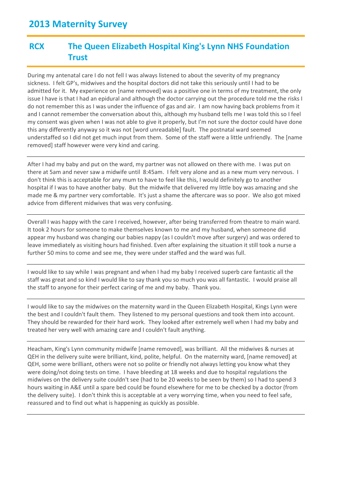### **RCX The Queen Elizabeth Hospital King's Lynn NHS Foundation Trust**

During my antenatal care I do not fell I was always listened to about the severity of my pregnancy sickness. I felt GP's, midwives and the hospital doctors did not take this seriously until I had to be admitted for it. My experience on [name removed] was a positive one in terms of my treatment, the only issue I have is that I had an epidural and although the doctor carrying out the procedure told me the risks I do not remember this as I was under the influence of gas and air. I am now having back problems from it and I cannot remember the conversation about this, although my husband tells me I was told this so I feel my consent was given when I was not able to give it properly, but I'm not sure the doctor could have done this any differently anyway so it was not [word unreadable] fault. The postnatal ward seemed understaffed so I did not get much input from them. Some of the staff were a little unfriendly. The [name removed] staff however were very kind and caring.

After I had my baby and put on the ward, my partner was not allowed on there with me. I was put on there at 5am and never saw a midwife until 8:45am. I felt very alone and as a new mum very nervous. I don't think this is acceptable for any mum to have to feel like this, I would definitely go to another hospital if I was to have another baby. But the midwife that delivered my little boy was amazing and she made me & my partner very comfortable. It's just a shame the aftercare was so poor. We also got mixed advice from different midwives that was very confusing.

Overall I was happy with the care I received, however, after being transferred from theatre to main ward. It took 2 hours for someone to make themselves known to me and my husband, when someone did appear my husband was changing our babies nappy (as I couldn't move after surgery) and was ordered to leave immediately as visiting hours had finished. Even after explaining the situation it still took a nurse a further 50 mins to come and see me, they were under staffed and the ward was full.

I would like to say while I was pregnant and when I had my baby I received superb care fantastic all the staff was great and so kind I would like to say thank you so much you was all fantastic. I would praise all the staff to anyone for their perfect caring of me and my baby. Thank you.

I would like to say the midwives on the maternity ward in the Queen Elizabeth Hospital, Kings Lynn were the best and I couldn't fault them. They listened to my personal questions and took them into account. They should be rewarded for their hard work. They looked after extremely well when I had my baby and treated her very well with amazing care and I couldn't fault anything.

Heacham, King's Lynn community midwife [name removed], was brilliant. All the midwives & nurses at QEH in the delivery suite were brilliant, kind, polite, helpful. On the maternity ward, [name removed] at QEH, some were brilliant, others were not so polite or friendly not always letting you know what they were doing/not doing tests on time. I have bleeding at 18 weeks and due to hospital regulations the midwives on the delivery suite couldn't see (had to be 20 weeks to be seen by them) so I had to spend 3 hours waiting in A&E until a spare bed could be found elsewhere for me to be checked by a doctor (from the delivery suite). I don't think this is acceptable at a very worrying time, when you need to feel safe, reassured and to find out what is happening as quickly as possible.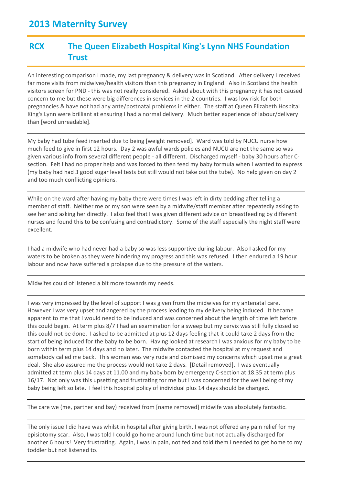#### **RCX The Queen Elizabeth Hospital King's Lynn NHS Foundation Trust**

An interesting comparison I made, my last pregnancy & delivery was in Scotland. After delivery I received far more visits from midwives/health visitors than this pregnancy in England. Also in Scotland the health visitors screen for PND - this was not really considered. Asked about with this pregnancy it has not caused concern to me but these were big differences in services in the 2 countries. I was low risk for both pregnancies & have not had any ante/postnatal problems in either. The staff at Queen Elizabeth Hospital King's Lynn were brilliant at ensuring I had a normal delivery. Much better experience of labour/delivery than [word unreadable].

My baby had tube feed inserted due to being [weight removed]. Ward was told by NUCU nurse how much feed to give in first 12 hours. Day 2 was awful wards policies and NUCU are not the same so was given various info from several different people - all different. Discharged myself - baby 30 hours after Csection. Felt I had no proper help and was forced to then feed my baby formula when I wanted to express (my baby had had 3 good sugar level tests but still would not take out the tube). No help given on day 2 and too much conflicting opinions.

While on the ward after having my baby there were times I was left in dirty bedding after telling a member of staff. Neither me or my son were seen by a midwife/staff member after repeatedly asking to see her and asking her directly. I also feel that I was given different advice on breastfeeding by different nurses and found this to be confusing and contradictory. Some of the staff especially the night staff were excellent.

I had a midwife who had never had a baby so was less supportive during labour. Also I asked for my waters to be broken as they were hindering my progress and this was refused. I then endured a 19 hour labour and now have suffered a prolapse due to the pressure of the waters.

Midwifes could of listened a bit more towards my needs.

I was very impressed by the level of support I was given from the midwives for my antenatal care. However I was very upset and angered by the process leading to my delivery being induced. It became apparent to me that I would need to be induced and was concerned about the length of time left before this could begin. At term plus 8/7 I had an examination for a sweep but my cervix was still fully closed so this could not be done. I asked to be admitted at plus 12 days feeling that it could take 2 days from the start of being induced for the baby to be born. Having looked at research I was anxious for my baby to be born within term plus 14 days and no later. The midwife contacted the hospital at my request and somebody called me back. This woman was very rude and dismissed my concerns which upset me a great deal. She also assured me the process would not take 2 days. [Detail removed]. I was eventually admitted at term plus 14 days at 11.00 and my baby born by emergency C-section at 18.35 at term plus 16/17. Not only was this upsetting and frustrating for me but I was concerned for the well being of my baby being left so late. I feel this hospital policy of individual plus 14 days should be changed.

The care we (me, partner and bay) received from [name removed] midwife was absolutely fantastic.

The only issue I did have was whilst in hospital after giving birth, I was not offered any pain relief for my episiotomy scar. Also, I was told I could go home around lunch time but not actually discharged for another 6 hours! Very frustrating. Again, I was in pain, not fed and told them I needed to get home to my toddler but not listened to.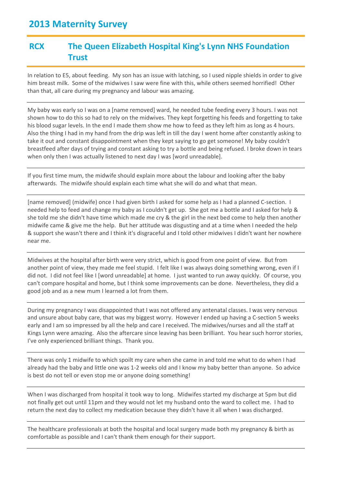#### **RCX The Queen Elizabeth Hospital King's Lynn NHS Foundation Trust**

In relation to E5, about feeding. My son has an issue with latching, so I used nipple shields in order to give him breast milk. Some of the midwives I saw were fine with this, while others seemed horrified! Other than that, all care during my pregnancy and labour was amazing.

My baby was early so I was on a [name removed] ward, he needed tube feeding every 3 hours. I was not shown how to do this so had to rely on the midwives. They kept forgetting his feeds and forgetting to take his blood sugar levels. In the end I made them show me how to feed as they left him as long as 4 hours. Also the thing I had in my hand from the drip was left in till the day I went home after constantly asking to take it out and constant disappointment when they kept saying to go get someone! My baby couldn't breastfeed after days of trying and constant asking to try a bottle and being refused. I broke down in tears when only then I was actually listened to next day I was [word unreadable].

If you first time mum, the midwife should explain more about the labour and looking after the baby afterwards. The midwife should explain each time what she will do and what that mean.

[name removed] (midwife) once I had given birth I asked for some help as I had a planned C-section. I needed help to feed and change my baby as I couldn't get up. She got me a bottle and I asked for help & she told me she didn't have time which made me cry & the girl in the next bed come to help then another midwife came & give me the help. But her attitude was disgusting and at a time when I needed the help & support she wasn't there and I think it's disgraceful and I told other midwives I didn't want her nowhere near me.

Midwives at the hospital after birth were very strict, which is good from one point of view. But from another point of view, they made me feel stupid. I felt like I was always doing something wrong, even if I did not. I did not feel like I [word unreadable] at home. I just wanted to run away quickly. Of course, you can't compare hospital and home, but I think some improvements can be done. Nevertheless, they did a good job and as a new mum I learned a lot from them.

During my pregnancy I was disappointed that I was not offered any antenatal classes. I was very nervous and unsure about baby care, that was my biggest worry. However I ended up having a C-section 5 weeks early and I am so impressed by all the help and care I received. The midwives/nurses and all the staff at Kings Lynn were amazing. Also the aftercare since leaving has been brilliant. You hear such horror stories, I've only experienced brilliant things. Thank you.

There was only 1 midwife to which spoilt my care when she came in and told me what to do when I had already had the baby and little one was 1-2 weeks old and I know my baby better than anyone. So advice is best do not tell or even stop me or anyone doing something!

When I was discharged from hospital it took way to long. Midwifes started my discharge at 5pm but did not finally get out until 11pm and they would not let my husband onto the ward to collect me. I had to return the next day to collect my medication because they didn't have it all when I was discharged.

The healthcare professionals at both the hospital and local surgery made both my pregnancy & birth as comfortable as possible and I can't thank them enough for their support.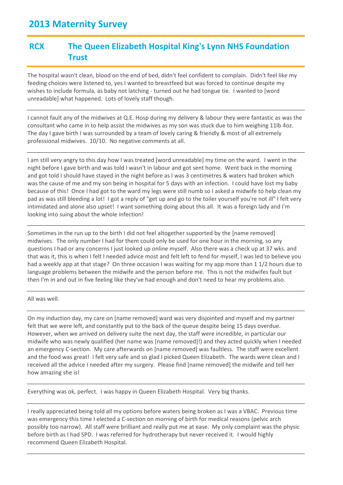### **RCX The Queen Elizabeth Hospital King's Lynn NHS Foundation Trust**

The hospital wasn't clean, blood on the end of bed, didn't feel confident to complain. Didn't feel like my feeding choices were listened to, yes I wanted to breastfeed but was forced to continue despite my wishes to include formula, as baby not latching - turned out he had tongue tie. I wanted to [word unreadable] what happened. Lots of lovely staff though.

I cannot fault any of the midwives at Q.E. Hosp during my delivery & labour they were fantastic as was the consultant who came in to help assist the midwives as my son was stuck due to him weighing 11lb 4oz. The day I gave birth I was surrounded by a team of lovely caring & friendly & most of all extremely professional midwives. 10/10. No negative comments at all.

I am still very angry to this day how I was treated [word unreadable] my time on the ward. I went in the night before I gave birth and was told I wasn't in labour and got sent home. Went back in the morning and got told I should have stayed in the night before as I was 3 centimetres & waters had broken which was the cause of me and my son being in hospital for 5 days with an infection. I could have lost my baby because of this! Once I had got to the ward my legs were still numb so I asked a midwife to help clean my pad as was still bleeding a lot! I got a reply of "get up and go to the toiler yourself you're not ill" I felt very intimidated and alone also upset! I want something doing about this all. It was a foreign lady and I'm looking into suing about the whole infection!

Sometimes in the run up to the birth I did not feel altogether supported by the [name removed] midwives. The only number I had for them could only be used for one hour in the morning, so any questions I had or any concerns I just looked up online myself. Also there was a check up at 37 wks. and that was it, this is when I felt I needed advice most and felt left to fend for myself, I was led to believe you had a weekly app at that stage? On three occasion I was waiting for my app more than 1 1/2 hours due to language problems between the midwife and the person before me. This is not the midwifes fault but then I'm in and out in five feeling like they've had enough and don't need to hear my problems also.

All was well.

On my induction day, my care on [name removed] ward was very disjointed and myself and my partner felt that we were left, and constantly put to the back of the queue despite being 15 days overdue. However, when we arrived on delivery suite the next day, the staff were incredible, in particular our midwife who was newly qualified (her name was [name removed]!) and they acted quickly when I needed an emergency C-section. My care afterwards on [name removed] was faultless. The staff were excellent and the food was great! I felt very safe and so glad I picked Queen Elizabeth. The wards were clean and I received all the advice I needed after my surgery. Please find [name removed] the midwife and tell her how amazing she is!

Everything was ok, perfect. I was happy in Queen Elizabeth Hospital. Very big thanks.

I really appreciated being told all my options before waters being broken as I was a VBAC. Previous time was emergency this time I elected a C-section on morning of birth for medical reasons (pelvic arch possibly too narrow). All staff were brilliant and really put me at ease. My only complaint was the physic before birth as I had SPD. I was referred for hydrotherapy but never received it. I would highly recommend Queen Elizabeth Hospital.